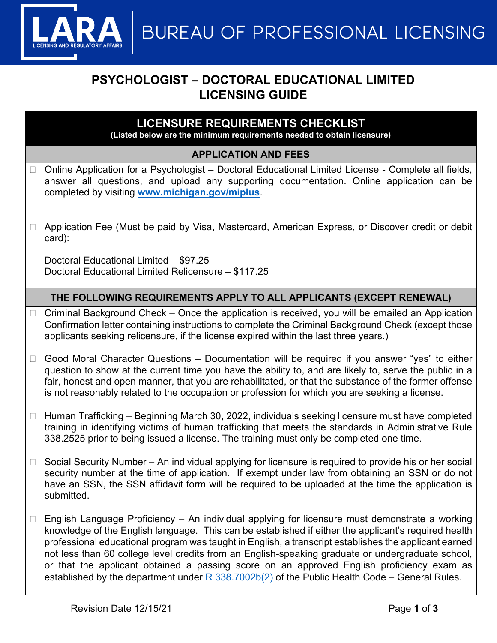**MUREAU OF PROFESSIONAL LICENSING** 

# **PSYCHOLOGIST – DOCTORAL EDUCATIONAL LIMITED LICENSING GUIDE**

# **LICENSURE REQUIREMENTS CHECKLIST**

**(Listed below are the minimum requirements needed to obtain licensure)**

### **APPLICATION AND FEES**

- Online Application for a Psychologist Doctoral Educational Limited License Complete all fields, answer all questions, and upload any supporting documentation. Online application can be completed by visiting **[www.michigan.gov/miplus](http://www.michigan.gov/miplus)**.
- □ Application Fee (Must be paid by Visa, Mastercard, American Express, or Discover credit or debit card):

Doctoral Educational Limited – \$97.25 Doctoral Educational Limited Relicensure – \$117.25

### **THE FOLLOWING REQUIREMENTS APPLY TO ALL APPLICANTS (EXCEPT RENEWAL)**

- $\Box$  Criminal Background Check Once the application is received, you will be emailed an Application Confirmation letter containing instructions to complete the Criminal Background Check (except those applicants seeking relicensure, if the license expired within the last three years.)
- $\Box$  Good Moral Character Questions Documentation will be required if you answer "yes" to either question to show at the current time you have the ability to, and are likely to, serve the public in a fair, honest and open manner, that you are rehabilitated, or that the substance of the former offense is not reasonably related to the occupation or profession for which you are seeking a license.
- $\Box$  Human Trafficking Beginning March 30, 2022, individuals seeking licensure must have completed training in identifying victims of human trafficking that meets the standards in Administrative Rule 338.2525 prior to being issued a license. The training must only be completed one time.
- $\Box$  Social Security Number An individual applying for licensure is required to provide his or her social security number at the time of application. If exempt under law from obtaining an SSN or do not have an SSN, the SSN affidavit form will be required to be uploaded at the time the application is submitted.
- $\Box$  English Language Proficiency An individual applying for licensure must demonstrate a working knowledge of the English language. This can be established if either the applicant's required health professional educational program was taught in English, a transcript establishes the applicant earned not less than 60 college level credits from an English-speaking graduate or undergraduate school, or that the applicant obtained a passing score on an approved English proficiency exam as established by the department under  $R$  338.7002b(2) of the Public Health Code – General Rules.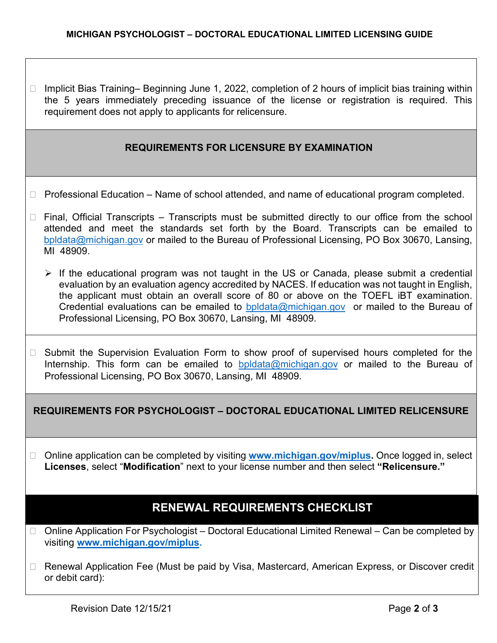$\Box$  Implicit Bias Training– Beginning June 1, 2022, completion of 2 hours of implicit bias training within the 5 years immediately preceding issuance of the license or registration is required. This requirement does not apply to applicants for relicensure.

### **REQUIREMENTS FOR LICENSURE BY EXAMINATION**

- $\Box$  Professional Education Name of school attended, and name of educational program completed.
- $\Box$  Final, Official Transcripts Transcripts must be submitted directly to our office from the school attended and meet the standards set forth by the Board. Transcripts can be emailed to [bpldata@michigan.gov](mailto:bpldata@michigan.gov) or mailed to the Bureau of Professional Licensing, PO Box 30670, Lansing, MI 48909.
	- $\triangleright$  If the educational program was not taught in the US or Canada, please submit a credential evaluation by an evaluation agency accredited by NACES. If education was not taught in English, the applicant must obtain an overall score of 80 or above on the TOEFL iBT examination. Credential evaluations can be emailed to [bpldata@michigan.gov](mailto:bpldata@michigan.gov) or mailed to the Bureau of Professional Licensing, PO Box 30670, Lansing, MI 48909.
- □ Submit the Supervision Evaluation Form to show proof of supervised hours completed for the Internship. This form can be emailed to [bpldata@michigan.gov](mailto:bpldata@michigan.gov) or mailed to the Bureau of Professional Licensing, PO Box 30670, Lansing, MI 48909.

### **REQUIREMENTS FOR PSYCHOLOGIST – DOCTORAL EDUCATIONAL LIMITED RELICENSURE**

□ Online application can be completed by visiting **[www.michigan.gov/miplus.](http://www.michigan.gov/miplus)** Once logged in, select **Licenses**, select "**Modification**" next to your license number and then select **"Relicensure."** 

# **RENEWAL REQUIREMENTS CHECKLIST**

- $\Box$  Online Application For Psychologist Doctoral Educational Limited Renewal Can be completed by visiting **[www.michigan.gov/miplus.](http://www.michigan.gov/miplus)**
- □ Renewal Application Fee (Must be paid by Visa, Mastercard, American Express, or Discover credit or debit card):